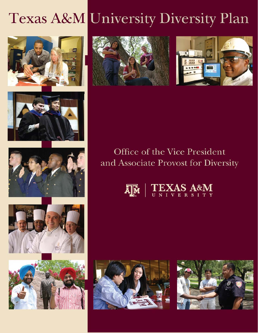# Texas A&M University Diversity Plan















# Office of the Vice President and Associate Provost for Diversity





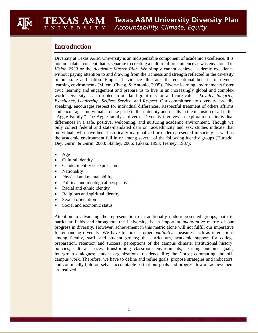# **Introduction**

EXAS A&M

 *Vision 2020* or the *Academic Master Plan*. We simply cannot achieve academic excellence *Excellence, Leadership, Selfless Service,* and *Respect*. Our commitment to diversity, broadly speaking, encourages respect for individual differences. Respectful treatment of others affirms "Aggie Family." The Aggie family *is* diverse. Diversity involves an exploration of individual Dey, Gurin, & Gurin, 2003; Stanley, 2006; Takaki, 1993; Tierney, 1987): Diversity at Texas A&M University is an indispensable component of academic excellence. It is not an isolated concept that is separate to creating a culture of preeminence as was envisioned in without paying attention to and drawing from the richness and strength reflected in the diversity in our state and nation. Empirical evidence illustrates the educational benefits of diverse learning environments (Milem, Chang, & Antonio, 2005). Diverse learning environments foster civic learning and engagement and prepare us to live in an increasingly global and complex world. Diversity is also rooted in our land grant mission and core values: *Loyalty, Integrity,*  and encourages individuals to take pride in their identity and results in the inclusion of all in the differences in a safe, positive, welcoming, and nurturing academic environment. Though we only collect federal and state-mandated data on race/ethnicity and sex, studies indicate that individuals who have been historically marginalized or underrepresented in society as well as the academic environment fall in or among several of the following identity groups (Hurtado,

- Age
- Cultural identity
- Gender identity or expression
- Nationality
- Physical and mental ability
- Political and ideological perspectives
- Racial and ethnic identity
- Religious and spiritual identity
- Sexual orientation
- Social and economic status

 progress in diversity. However, achievement in this metric alone will not fulfill our imperative among faculty, staff, and student groups; the curriculum, academic support for college intergroup dialogues; student organizations; residence life; the Corps; commuting and off-Attention to advancing the representation of traditionally underrepresented groups, both in particular fields and throughout the University, is an important *quantitative* metric of our for enhancing diversity. We have to look at other *qualitative* measures such as interactions preparation, retention and success; perceptions of the campus climate; institutional history; policies; cultural spaces; transforming classroom environments; learning outcome goals; campus work. Therefore, we have to define and refine goals, propose strategies and indicators, and continually hold ourselves accountable so that our goals and progress toward achievement are realized.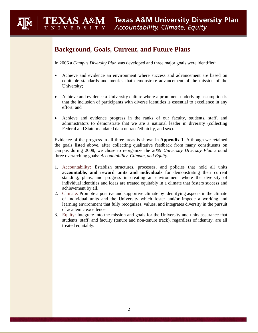# **Background, Goals, Current, and Future Plans**

EXAS A&M

In 2006 a *Campus Diversity Plan* was developed and three major goals were identified:

- Achieve and evidence an environment where success and advancement are based on equitable standards and metrics that demonstrate advancement of the mission of the University;
- Achieve and evidence a University culture where a prominent underlying assumption is that the inclusion of participants with diverse identities is essential to excellence in any effort; and
- • Achieve and evidence progress in the ranks of our faculty, students, staff, and Federal and State-mandated data on race/ethnicity, and sex). administrators to demonstrate that we are a national leader in diversity (collecting

Evidence of the progress in all three areas is shown in **Appendix 1**. Although we retained the goals listed above, after collecting qualitative feedback from many constituents on campus during 2008, we chose to reorganize the *2009 University Diversity Plan* around three overarching goals: *Accountability, Climate, and Equity*.

- standing, plans, and progress in creating an environment where the diversity of 1. Accountability**:** Establish structures, processes, and policies that hold all units **accountable, and reward units and individuals** for demonstrating their current individual identities and ideas are treated equitably in a climate that fosters success and achievement by all.
- 2. Climate: Promote a positive and supportive climate by identifying aspects in the climate of individual units and the University which foster and/or impede a working and learning environment that fully recognizes, values, and integrates diversity in the pursuit of academic excellence.
- 3. Equity: Integrate into the mission and goals for the University and units assurance that students, staff, and faculty (tenure and non-tenure track), regardless of identity, are all treated equitably.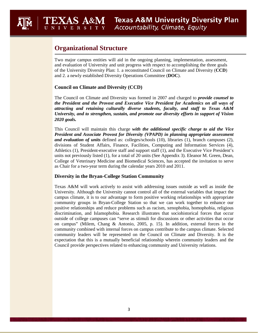# **Organizational Structure**

EXAS A&M

 Two major campus entities will aid in the ongoing planning, implementation, assessment, and evaluation of University and unit progress with respect to accomplishing the three goals of the University Diversity Plan: 1. a reconstituted Council on Climate and Diversity (**CCD**) and 2. a newly established Diversity Operations Committee (**DOC**).

# **Council on Climate and Diversity (CCD)**

 *attracting and retaining culturally diverse students, faculty, and staff to Texas A&M*  The Council on Climate and Diversity was formed in 2007 and charged to *provide counsel to the President and the Provost and Executive Vice President for Academics on all ways of University, and to strengthen, sustain, and promote our diversity efforts in support of Vision 2020 goals.* 

 *President and Associate Provost for Diversity (VPAPD) in planning appropriate assessment and evaluation of units* defined as: colleges/schools (10), libraries (1), branch campuses (2), This Council will maintain this charge *with the additional specific charge to aid the Vice*  divisions of Student Affairs, Finance, Facilities, Computing and Information Services (4), Athletics (1), President-executive staff and support staff (1), and the Executive Vice President's units not previously listed (1), for a total of 20 units (See Appendix 3). Eleanor M. Green, Dean, College of Veterinary Medicine and Biomedical Sciences, has accepted the invitation to serve as Chair for a two-year term during the calendar years 2010 and 2011.

# **Diversity in the Bryan-College Station Community**

 University. Although the University cannot control all of the external variables that impact the discrimination, and Islamophobia. Research illustrates that sociohistorical forces that occur community leaders will be represented on the Council on Climate and Diversity. It is the expectation that this is a mutually beneficial relationship wherein community leaders and the Texas A&M will work actively to assist with addressing issues outside as well as inside the campus climate, it is to our advantage to form positive working relationships with appropriate community groups in Bryan-College Station so that we can work together to enhance our positive relationships and reduce problems such as racism, xenophobia, homophobia, religious outside of college campuses can "serve as stimuli for discussions or other activities that occur on campus" (Milem, Chang & Antonio, 2005, p. 15). In addition, external forces in the community combined with internal forces on campus contribute to the campus climate. Selected Council provide perspectives related to enhancing community and University relations.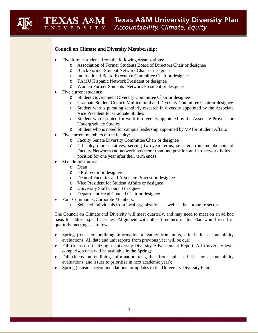# **Council on Climate and Diversity Membership:**

- Five former students from the following organizations:
	- o Association of Former Students Board of Directors Chair or designee
	- o Black Former Student Network Chair or designee
	- o International Board Executive Committee Chair or designee
	- o TAMU Hispanic Network President or designee
- <sup>o</sup> Women Former Students' Network President or designee • Five current students:
- 

EXAS A&M

- o Student Government Diversity Committee Chair or designee
- o Graduate Student Council Multicultural and Diversity Committee Chair or designee
- o Student who is pursuing scholarly research in diversity appointed by the Associate Vice President for Graduate Studies
- Undergraduate Studies o Student who is noted for work in diversity appointed by the Associate Provost for
- o Student who is noted for campus leadership appointed by VP for Student Affairs
- Five current members of the faculty:
	- o Faculty Senate Diversity Committee Chair or designee
	- Faculty Networks (no network has more than one position and no network holds a o 4 faculty representatives, serving two-year terms, selected from membership of position for one year after their term ends)
- Six administrators:
	- o Dean
	- o HR director or designee
	- o Dean of Faculties and Associate Provost or designee
	- o Vice President for Student Affairs or designee
	- o University Staff Council designee
	- o Department Head Council Chair or designee
- Four Community/Corporate Members:
	- o Selected individuals from local organizations as well as the corporate sector

The Council on Climate and Diversity will meet quarterly, and may need to meet on an ad hoc basis to address specific issues. Alignment with other timelines in this Plan would result in quarterly meetings as follows:

- Spring (focus on outlining information to gather from units, criteria for accountability evaluations. All data and unit reports from previous year will be due);
- comparison data will be available in the Spring); • Fall (focus on finalizing a University Diversity Advancement Report. All University-level
- Fall (focus on outlining information to gather from units, criteria for accountability evaluations, and issues to prioritize in next academic year);
- Spring (consider recommendations for updates to the University Diversity Plan)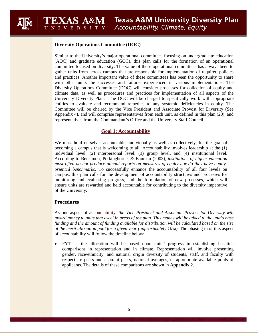# **Diversity Operations Committee (DOC)**

EXAS A&M

 gather units from across campus that are responsible for implementation of required policies Similar to the University's major operational committees focusing on undergraduate education (AOC) and graduate education (GOC), this plan calls for the formation of an operational committee focused on diversity. The value of these operational committees has always been to and practices. Another important value of these committees has been the opportunity to share with other units the successes and failures experienced in various implementations. The Diversity Operations Committee (DOC) will consider processes for collection of equity and climate data, as well as procedures and practices for implementation of all aspects of the University Diversity Plan. The DOC will be charged to specifically work with appropriate entities to evaluate and recommend remedies to any systemic deficiencies in equity. The Committee will be chaired by the Vice President and Associate Provost for Diversity (See Appendix 4), and will comprise representatives from each unit, as defined in this plan (20), and representatives from the Commandant's Office and the University Staff Council.

# **Goal 1: Accountability**

 *oriented benchmarks.* To successfully enhance the accountability of all four levels on monitoring and evaluating progress, and the formulation of new processes, which will We must hold ourselves accountable, individually as well as collectively, for the goal of becoming a campus that is welcoming to all. Accountability involves leadership at the (1) individual level, (2) interpersonal level, (3) group level, and (4) institutional level. According to Bensimon, Polkinghorne, & Bauman (2003), *institutions of higher education most often do not produce annual reports on measures of equity nor do they have equity*campus, this plan calls for the development of accountability structures and processes for ensure units are rewarded and held accountable for contributing to the diversity imperative of the University.

## **Procedures**

 *award money to units that excel in areas of the plan. This money will be added to the unit's base*  As one aspect of accountability, *the Vice President and Associate Provost for Diversity will funding and the amount of funding available for distribution will be calculated based on the size of the merit allocation pool for a given year (approximately 10%).* The phasing in of this aspect of accountability will follow the timeline below:

 • FY12 – the allocation will be based upon units' progress in establishing baseline comparisons in representation and in climate. Representation will involve presenting gender, race/ethnicity, and national origin diversity of students, staff, and faculty with respect to: peers and aspirant peers, national averages, or appropriate available pools of applicants. The details of these comparisons are shown in **Appendix 2**.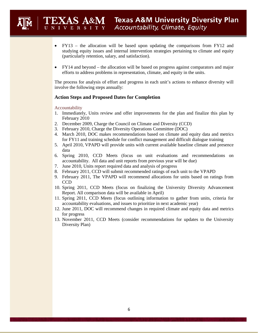- • FY13 the allocation will be based upon updating the comparisons from FY12 and studying equity issues and internal intervention strategies pertaining to climate and equity (particularly retention, salary, and satisfaction).
- FY14 and beyond the allocation will be based on progress against comparators and major efforts to address problems in representation, climate, and equity in the units.

The process for analysis of effort and progress in each unit's actions to enhance diversity will involve the following steps annually:

# **Action Steps and Proposed Dates for Completion**

#### Accountability

EXAS A&M

- 1. Immediately, Units review and offer improvements for the plan and finalize this plan by February 2010
- 2. December 2009, Charge the Council on Climate and Diversity (CCD)
- 3. February 2010, Charge the Diversity Operations Committee (DOC)
- 4. March 2010, DOC makes recommendations based on climate and equity data and metrics for FY11 and training schedule for conflict management and difficult dialogue training
- 5. April 2010, VPAPD will provide units with current available baseline climate and presence data
- 6. Spring 2010, CCD Meets (focus on unit evaluations and recommendations on accountability. All data and unit reports from previous year will be due)
- 7. June 2010, Units report required data and analysis of progress
- 8. February 2011, CCD will submit recommended ratings of each unit to the VPAPD
- 9. February 2011, The VPAPD will recommend allocations for units based on ratings from CCD
- 10. Spring 2011, CCD Meets (focus on finalizing the University Diversity Advancement Report. All comparison data will be available in April)
- 11. Spring 2011, CCD Meets (focus outlining information to gather from units, criteria for accountability evaluations, and issues to prioritize in next academic year)
- 12. June 2011, DOC will recommend changes in required climate and equity data and metrics for progress
- 13. November 2011, CCD Meets (consider recommendations for updates to the University Diversity Plan)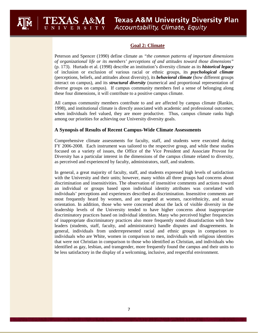# **Goal 2: Climate**

 *of organizational life or its members' perceptions of and attitudes toward those dimensions"*  diverse groups on campus). If campus community members feel a sense of belonging along Peterson and Spencer (1990) define climate as *"the common patterns of important dimensions*  (p. 173). Hurtado et al. (1998) describe an institution's diversity climate as its *historical legacy*  of inclusion or exclusion of various racial or ethnic groups, its *psychological climate*  (perceptions, beliefs, and attitudes about diversity), its *behavioral climate* (how different groups interact on campus), and its *structural diversity* (numerical and proportional representation of these four dimensions, it will contribute to a positive campus climate.

 All campus community members contribute to and are affected by campus climate (Rankin, 1998), and institutional climate is directly associated with academic and professional outcomes; when individuals feel valued, they are more productive. Thus, campus climate ranks high among our priorities for achieving our University diversity goals.

# **A Synopsis of Results of Recent Campus-Wide Climate Assessments**

EXAS A&M

Comprehensive climate assessments for faculty, staff, and students were executed during focused on a variety of issues, the Office of the Vice President and Associate Provost for FY 2006-2008. Each instrument was tailored to the respective group, and while these studies Diversity has a particular interest in the dimensions of the campus climate related to diversity, as perceived and experienced by faculty, administrators, staff, and students.

 leadership levels of the University tended to have higher concerns about inappropriate general, individuals from underrepresented racial and ethnic groups in comparison to In general, a great majority of faculty, staff, and students expressed high levels of satisfaction with the University and their units; however, many within all three groups had concerns about discrimination and insensitivities. The observation of insensitive comments and actions toward an individual or groups based upon individual identity attributes was correlated with individuals' perceptions and experiences described as discrimination. Insensitive comments are most frequently heard by women, and are targeted at women, race/ethnicity, and sexual orientation. In addition, those who were concerned about the lack of visible diversity in the discriminatory practices based on individual identities. Many who perceived higher frequencies of inappropriate discriminatory practices also more frequently noted dissatisfaction with how leaders (students, staff, faculty, and administrators) handle disputes and disagreements. In individuals who are White, women in comparison to men, individuals with religious identities that were not Christian in comparison to those who identified as Christian, and individuals who identified as gay, lesbian, and transgender, more frequently found the campus and their units to be less satisfactory in the display of a welcoming, inclusive, and respectful environment.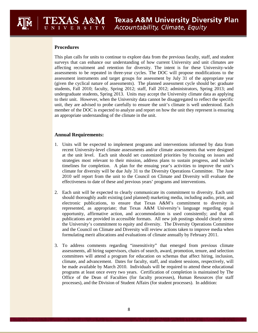# **Procedures**

EXAS A&M

 This plan calls for units to continue to explore data from the previous faculty, staff, and student affecting recruitment and retention for diversity. The intent is for these University-wide assessments to be repeated in three-year cycles. The DOC will propose modifications to the students, Fall 2010; faculty, Spring 2012; staff, Fall 2012; administrators, Spring 2013; and undergraduate students, Spring 2013. Units may accept the University climate data as applying to their unit. However, when the University data cannot be disaggregated to reflect the specific surveys that can enhance our understanding of how current University and unit climates are assessment instruments and target groups for assessment by July 31 of the appropriate year (given the cyclical nature of assessments). The planned assessment cycle should be: graduate unit, they are advised to probe carefully to ensure the unit's climate is well understood. Each member of the DOC is expected to analyze and report on how the unit they represent is ensuring an appropriate understanding of the climate in the unit.

## **Annual Requirements:**

- 1. Units will be expected to implement programs and interventions informed by data from at the unit level. Each unit should set customized priorities by focusing on issues and timelines for completion. A plan for the ensuing year's activities to improve the unit's climate for diversity will be due July 31 to the Diversity Operations Committee. The June 2010 self report from the unit to the Council on Climate and Diversity will evaluate the recent University-level climate assessments and/or climate assessments that were designed strategies most relevant to their mission, address plans to sustain progress, and include effectiveness to date of these and previous years' programs and interventions.
- represented, as appropriate; that Texas A&M University's language regarding equal the University's commitment to equity and diversity. The Diversity Operations Committee and the Council on Climate and Diversity will review actions taken to improve media when 2. Each unit will be expected to clearly communicate its commitment to diversity. Each unit should thoroughly audit existing (and planned) marketing media, including audio, print, and electronic publications, to ensure that Texas A&M's commitment to diversity is opportunity, affirmative action, and accommodation is used consistently; and that all publications are provided in accessible formats. All new job postings should clearly stress formulating merit allocations and evaluations of climate annually by February 2011.
- be made available by March 2010. Individuals will be required to attend these educational 3. To address comments regarding "insensitivity" that emerged from previous climate assessments, all hiring supervisors, chairs of search, award, promotion, tenure, and selection committees will attend a program for education on schemas that affect hiring, inclusion, climate, and advancement. Dates for faculty, staff, and student sessions, respectively, will programs at least once every two years. Certification of completion is maintained by The Office of the Dean of Faculties (for faculty processes), Human Resources (for staff processes), and the Division of Student Affairs (for student processes). In addition: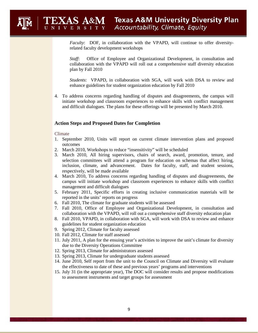*Faculty*: DOF, in collaboration with the VPAPD, will continue to offer diversityrelated faculty development workshops

 collaboration with the VPAPD will roll out a comprehensive staff diversity education *Staff*: Office of Employee and Organizational Development, in consultation and plan by Fall 2010

*Students*: VPAPD, in collaboration with SGA, will work with DSA to review and enhance guidelines for student organization education by Fall 2010

4. To address concerns regarding handling of disputes and disagreements, the campus will initiate workshop and classroom experiences to enhance skills with conflict management and difficult dialogues. The plans for these offerings will be presented by March 2010.

## **Action Steps and Proposed Dates for Completion**

#### Climate

EXAS A&M

- 1. September 2010, Units will report on current climate intervention plans and proposed outcomes
- 2. March 2010, Workshops to reduce "insensitivity" will be scheduled
- 3. March 2010, All hiring supervisors, chairs of search, award, promotion, tenure, and selection committees will attend a program for education on schemas that affect hiring, inclusion, climate, and advancement. Dates for faculty, staff, and student sessions, respectively, will be made available
- 4. March 2010, To address concerns regarding handling of disputes and disagreements, the campus will initiate workshop and classroom experiences to enhance skills with conflict management and difficult dialogues
- 5. February 2011, Specific efforts in creating inclusive communication materials will be reported in the units' reports on progress
- 6. Fall 2010, The climate for graduate students will be assessed
- collaboration with the VPAPD, will roll out a comprehensive staff diversity education plan 7. Fall 2010, Office of Employee and Organizational Development, in consultation and
- collaboration with the VPAPD, will roll out a comprehensive staff diversity education plan 8. Fall 2010, VPAPD, in collaboration with SGA, will work with DSA to review and enhance guidelines for student organization education
- 9. Spring 2012, Climate for faculty assessed
- 10. Fall 2012, Climate for staff assessed
- 11. July 2011, A plan for the ensuing year's activities to improve the unit's climate for diversity due to the Diversity Operations Committee
- 12. Spring 2013, Climate for administrators assessed
- 13. Spring 2013, Climate for undergraduate students assessed
- 14. June 2010, Self report from the unit to the Council on Climate and Diversity will evaluate the effectiveness to date of these and previous years' programs and interventions
- 15. July 31 (in the appropriate year), The DOC will consider results and propose modifications to assessment instruments and target groups for assessment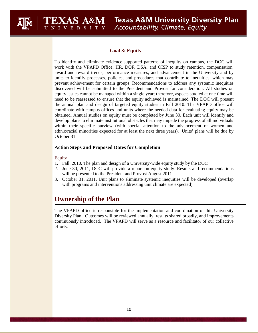

# **Goal 3: Equity**

 prevent achievement for certain groups. Recommendations to address any systemic inequities need to be reassessed to ensure that the equity achieved is maintained. The DOC will present the annual plan and design of targeted equity studies in Fall 2010. The VPAPD office will obtained. Annual studies on equity must be completed by June 30. Each unit will identify and develop plans to eliminate institutional obstacles that may impede the progress of all individuals To identify and eliminate evidence-supported patterns of inequity on campus, the DOC will work with the VPAPD Office, HR, DOF, DSA, and OISP to study retention, compensation, award and reward trends, performance measures, and advancement in the University and by units to identify processes, policies, and procedures that contribute to inequities, which may discovered will be submitted to the President and Provost for consideration. All studies on equity issues cannot be managed within a single year; therefore, aspects studied at one time will coordinate with campus offices and units where the needed data for evaluating equity may be within their specific purview (with special attention to the advancement of women and ethnic/racial minorities expected for at least the next three years). Units' plans will be due by October 31.

# **Action Steps and Proposed Dates for Completion**

#### Equity

- 1. Fall, 2010, The plan and design of a University-wide equity study by the DOC
- 2. June 30, 2011, DOC will provide a report on equity study. Results and recommendations will be presented to the President and Provost August 2011
- 3. October 31, 2011, Unit plans to eliminate systemic inequities will be developed (overlap with programs and interventions addressing unit climate are expected)

# **Ownership of the Plan**

EXAS A&M

 The VPAPD office is responsible for the implementation and coordination of this University continuously introduced. The VPAPD will serve as a resource and facilitator of our collective Diversity Plan. Outcomes will be reviewed annually, results shared broadly, and improvements efforts.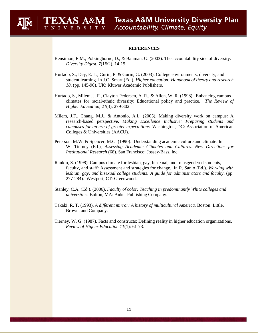#### **REFERENCES**

EXAS A&M

- Bensimon, E.M., Polkinghorne, D., & Bauman, G. (2003). The accountability side of diversity. *Diversity Digest, 7*(1&2), 14-15.
- Hurtado, S., Dey, E. L., Gurin, P. & Gurin, G. (2003). College environments, diversity, and student learning. In J.C. Smart (Ed.), *Higher education: Handbook of theory and research 18*, (pp. 145-90). UK: Kluwer Academic Publishers.
- Hurtado, S., Milem, J. F., Clayton-Pedersen, A. R., & Allen, W. R. (1998). Enhancing campus climates for racial/ethnic diversity: Educational policy and practice. *The Review of Higher Education*, *21*(3), 279-302.
- Milem, J.F., Chang, M.J., & Antonio, A.L. (2005). Making diversity work on campus: A research-based perspective. *Making Excellence Inclusive: Preparing students and campuses for an era of greater expectations.* Washington, DC: Association of American Colleges & Universities (AACU).
- W. Tierney (Ed.), Assessing Academic Climates and Cultures. New Directions for Peterson, M.W. & Spencer, M.G. (1990). Understanding academic culture and climate. In *Institutional Research* (68). San Francisco: Jossey-Bass, Inc.
- Rankin, S. (1998). Campus climate for lesbian, gay, bisexual, and transgendered students,  *lesbian, gay, and bisexual college students: A guide for administrators and faculty*. (pp. faculty, and staff: Assessment and strategies for change. In R. Sanlo (Ed.). *Working with*  277-284). Westport, CT: Greenwood.
- Stanley, C.A. (Ed.). (2006). *Faculty of color: Teaching in predominantly White colleges and universities.* Bolton, MA: Anker Publishing Company.
- Takaki, R. T. (1993). *A different mirror: A history of multicultural America.* Boston: Little, Brown, and Company.
- Tierney, W. G. (1987). Facts and constructs: Defining reality in higher education organizations. *Review of Higher Education 11*(1): 61-73.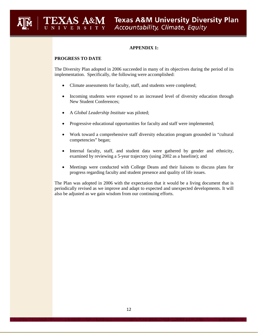# **APPENDIX 1:**

# **PROGRESS TO DATE**

 The Diversity Plan adopted in 2006 succeeded in many of its objectives during the period of its implementation. Specifically, the following were accomplished:

- Climate assessments for faculty, staff, and students were completed;
- New Student Conferences; Incoming students were exposed to an increased level of diversity education through
- • A *Global Leadership Institute* was piloted;
- Progressive educational opportunities for faculty and staff were implemented;
- competencies" began; Work toward a comprehensive staff diversity education program grounded in "cultural"
- Internal faculty, staff, and student data were gathered by gender and ethnicity, examined by reviewing a 5-year trajectory (using 2002 as a baseline); and
- Meetings were conducted with College Deans and their liaisons to discuss plans for progress regarding faculty and student presence and quality of life issues.

 The Plan was adopted in 2006 with the expectation that it would be a living document that is periodically revised as we improve and adapt to expected and unexpected developments. It will also be adjusted as we gain wisdom from our continuing efforts.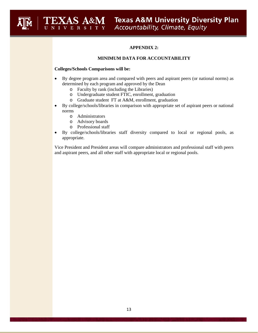# **APPENDIX 2:**

## **MINIMUM DATA FOR ACCOUNTABILITY**

#### **Colleges/Schools Comparisons will be:**

- • By degree program area and compared with peers and aspirant peers (or national norms) as determined by each program and approved by the Dean
	- o Faculty by rank (including the Libraries)
	- o Undergraduate student FTIC, enrollment, graduation
	- o Graduate student FT at A&M, enrollment, graduation
- By college/schools/libraries in comparison with appropriate set of aspirant peers or national norms
	- o Administrators
	- o Advisory boards
	- o Professional staff
- • By college/schools/libraries staff diversity compared to local or regional pools, as appropriate.

 and aspirant peers, and all other staff with appropriate local or regional pools. Vice President and President areas will compare administrators and professional staff with peers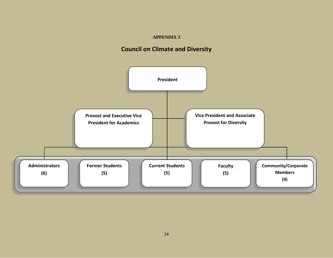# **APPENDIX 3**

# **Council on Climate and Diversity**